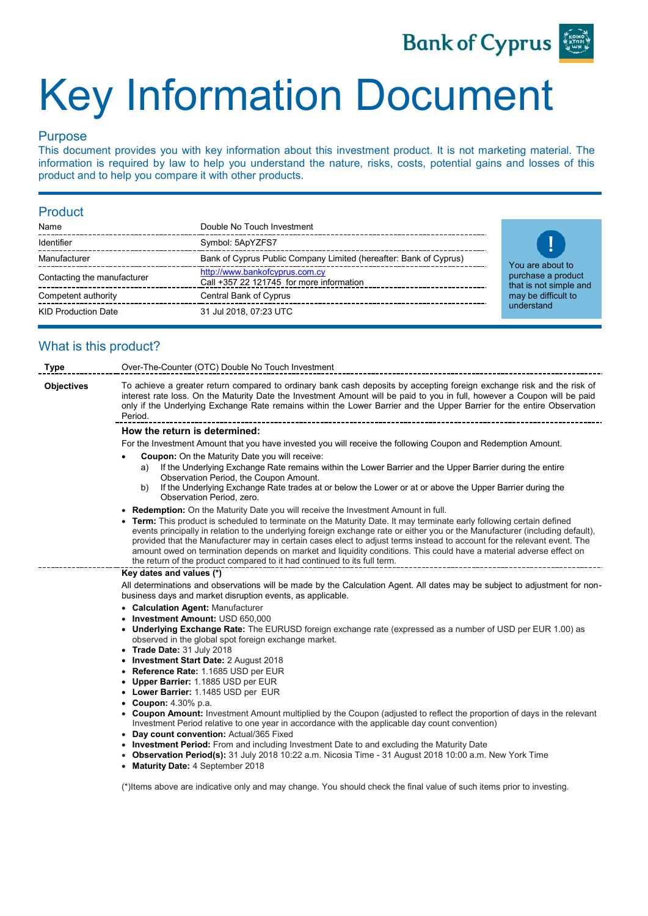

# Key Information Document

# Purpose

This document provides you with key information about this investment product. It is not marketing material. The information is required by law to help you understand the nature, risks, costs, potential gains and losses of this product and to help you compare it with other products.

# Product

| Name                        | Double No Touch Investment                                                 |
|-----------------------------|----------------------------------------------------------------------------|
| Identifier                  | Symbol: 5ApYZFS7                                                           |
| Manufacturer                | Bank of Cyprus Public Company Limited (hereafter: Bank of Cyprus)          |
| Contacting the manufacturer | http://www.bankofcyprus.com.cy<br>Call +357 22 121745 for more information |
| Competent authority         | Central Bank of Cyprus                                                     |
| <b>KID Production Date</b>  | 31 Jul 2018, 07:23 UTC                                                     |



# What is this product?

| Type                             | Over-The-Counter (OTC) Double No Touch Investment                                                                                                                                                                                                                                                                                                                                                                                                                                                                                                                                     |  |  |  |
|----------------------------------|---------------------------------------------------------------------------------------------------------------------------------------------------------------------------------------------------------------------------------------------------------------------------------------------------------------------------------------------------------------------------------------------------------------------------------------------------------------------------------------------------------------------------------------------------------------------------------------|--|--|--|
| <b>Objectives</b>                | To achieve a greater return compared to ordinary bank cash deposits by accepting foreign exchange risk and the risk of<br>interest rate loss. On the Maturity Date the Investment Amount will be paid to you in full, however a Coupon will be paid<br>only if the Underlying Exchange Rate remains within the Lower Barrier and the Upper Barrier for the entire Observation<br>Period.                                                                                                                                                                                              |  |  |  |
|                                  | How the return is determined:                                                                                                                                                                                                                                                                                                                                                                                                                                                                                                                                                         |  |  |  |
|                                  | For the Investment Amount that you have invested you will receive the following Coupon and Redemption Amount.                                                                                                                                                                                                                                                                                                                                                                                                                                                                         |  |  |  |
|                                  | <b>Coupon:</b> On the Maturity Date you will receive:                                                                                                                                                                                                                                                                                                                                                                                                                                                                                                                                 |  |  |  |
|                                  | If the Underlying Exchange Rate remains within the Lower Barrier and the Upper Barrier during the entire<br>a)<br>Observation Period, the Coupon Amount.                                                                                                                                                                                                                                                                                                                                                                                                                              |  |  |  |
|                                  | If the Underlying Exchange Rate trades at or below the Lower or at or above the Upper Barrier during the<br>b)<br>Observation Period, zero.                                                                                                                                                                                                                                                                                                                                                                                                                                           |  |  |  |
|                                  | . Redemption: On the Maturity Date you will receive the Investment Amount in full.                                                                                                                                                                                                                                                                                                                                                                                                                                                                                                    |  |  |  |
|                                  | • Term: This product is scheduled to terminate on the Maturity Date. It may terminate early following certain defined<br>events principally in relation to the underlying foreign exchange rate or either you or the Manufacturer (including default),<br>provided that the Manufacturer may in certain cases elect to adjust terms instead to account for the relevant event. The<br>amount owed on termination depends on market and liquidity conditions. This could have a material adverse effect on<br>the return of the product compared to it had continued to its full term. |  |  |  |
|                                  | Key dates and values (*)                                                                                                                                                                                                                                                                                                                                                                                                                                                                                                                                                              |  |  |  |
|                                  | All determinations and observations will be made by the Calculation Agent. All dates may be subject to adjustment for non-<br>business days and market disruption events, as applicable.                                                                                                                                                                                                                                                                                                                                                                                              |  |  |  |
|                                  | • Calculation Agent: Manufacturer                                                                                                                                                                                                                                                                                                                                                                                                                                                                                                                                                     |  |  |  |
| • Investment Amount: USD 650.000 |                                                                                                                                                                                                                                                                                                                                                                                                                                                                                                                                                                                       |  |  |  |
|                                  | • Underlying Exchange Rate: The EURUSD foreign exchange rate (expressed as a number of USD per EUR 1.00) as<br>observed in the global spot foreign exchange market.                                                                                                                                                                                                                                                                                                                                                                                                                   |  |  |  |
|                                  | • Trade Date: 31 July 2018                                                                                                                                                                                                                                                                                                                                                                                                                                                                                                                                                            |  |  |  |
|                                  | • Investment Start Date: 2 August 2018<br>• Reference Rate: 1.1685 USD per EUR                                                                                                                                                                                                                                                                                                                                                                                                                                                                                                        |  |  |  |
|                                  | • Upper Barrier: 1.1885 USD per EUR                                                                                                                                                                                                                                                                                                                                                                                                                                                                                                                                                   |  |  |  |
|                                  | • Lower Barrier: 1.1485 USD per EUR                                                                                                                                                                                                                                                                                                                                                                                                                                                                                                                                                   |  |  |  |
|                                  | • Coupon: $4.30\%$ p.a.                                                                                                                                                                                                                                                                                                                                                                                                                                                                                                                                                               |  |  |  |
|                                  | • Coupon Amount: Investment Amount multiplied by the Coupon (adjusted to reflect the proportion of days in the relevant                                                                                                                                                                                                                                                                                                                                                                                                                                                               |  |  |  |
|                                  | Investment Period relative to one year in accordance with the applicable day count convention)                                                                                                                                                                                                                                                                                                                                                                                                                                                                                        |  |  |  |
|                                  | • Day count convention: Actual/365 Fixed<br>• Investment Period: From and including Investment Date to and excluding the Maturity Date                                                                                                                                                                                                                                                                                                                                                                                                                                                |  |  |  |
|                                  | • Observation Period(s): 31 July 2018 10:22 a.m. Nicosia Time - 31 August 2018 10:00 a.m. New York Time                                                                                                                                                                                                                                                                                                                                                                                                                                                                               |  |  |  |

• **Maturity Date:** 4 September 2018

(\*)Items above are indicative only and may change. You should check the final value of such items prior to investing.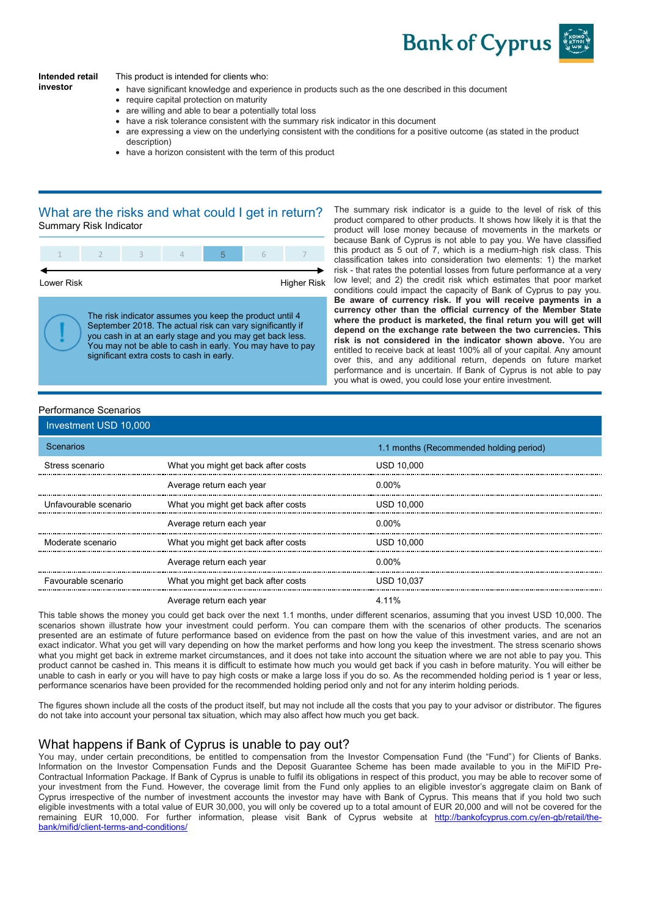

#### **Intended retail investor**

This product is intended for clients who:

- have significant knowledge and experience in products such as the one described in this document
- require capital protection on maturity
- are willing and able to bear a potentially total loss
- have a risk tolerance consistent with the summary risk indicator in this document
- are expressing a view on the underlying consistent with the conditions for a positive outcome (as stated in the product description)
- have a horizon consistent with the term of this product

#### What are the risks and what could I get in return? Summary Risk Indicator



you cash in at an early stage and you may get back less. You may not be able to cash in early. You may have to pay significant extra costs to cash in early.

The summary risk indicator is a guide to the level of risk of this product compared to other products. It shows how likely it is that the product will lose money because of movements in the markets or because Bank of Cyprus is not able to pay you. We have classified this product as 5 out of 7, which is a medium-high risk class. This classification takes into consideration two elements: 1) the market risk - that rates the potential losses from future performance at a very low level; and 2) the credit risk which estimates that poor market conditions could impact the capacity of Bank of Cyprus to pay you. **Be aware of currency risk. If you will receive payments in a currency other than the official currency of the Member State where the product is marketed, the final return you will get will depend on the exchange rate between the two currencies. This risk is not considered in the indicator shown above.** You are entitled to receive back at least 100% all of your capital. Any amount over this, and any additional return, depends on future market performance and is uncertain. If Bank of Cyprus is not able to pay you what is owed, you could lose your entire investment.

#### Performance Scenarios

| Investment USD 10,000 |                                     |                                         |  |  |
|-----------------------|-------------------------------------|-----------------------------------------|--|--|
| Scenarios             |                                     | 1.1 months (Recommended holding period) |  |  |
| Stress scenario       | What you might get back after costs | <b>USD 10.000</b>                       |  |  |
|                       | Average return each year            | 0.00%                                   |  |  |
| Unfavourable scenario | What you might get back after costs | <b>USD 10.000</b>                       |  |  |
|                       | Average return each year            | 0.00%                                   |  |  |
| Moderate scenario     | What you might get back after costs | <b>USD 10.000</b>                       |  |  |
|                       | Average return each year            | 0.00%                                   |  |  |
| Favourable scenario   | What you might get back after costs | <b>USD 10.037</b>                       |  |  |
|                       | Average return each year            | 4 11%                                   |  |  |

This table shows the money you could get back over the next 1.1 months, under different scenarios, assuming that you invest USD 10,000. The scenarios shown illustrate how your investment could perform. You can compare them with the scenarios of other products. The scenarios presented are an estimate of future performance based on evidence from the past on how the value of this investment varies, and are not an exact indicator. What you get will vary depending on how the market performs and how long you keep the investment. The stress scenario shows what you might get back in extreme market circumstances, and it does not take into account the situation where we are not able to pay you. This product cannot be cashed in. This means it is difficult to estimate how much you would get back if you cash in before maturity. You will either be unable to cash in early or you will have to pay high costs or make a large loss if you do so. As the recommended holding period is 1 year or less, performance scenarios have been provided for the recommended holding period only and not for any interim holding periods.

The figures shown include all the costs of the product itself, but may not include all the costs that you pay to your advisor or distributor. The figures do not take into account your personal tax situation, which may also affect how much you get back.

# What happens if Bank of Cyprus is unable to pay out?

You may, under certain preconditions, be entitled to compensation from the Investor Compensation Fund (the "Fund") for Clients of Banks. Information on the Investor Compensation Funds and the Deposit Guarantee Scheme has been made available to you in the MiFID Pre-Contractual Information Package. If Bank of Cyprus is unable to fulfil its obligations in respect of this product, you may be able to recover some of your investment from the Fund. However, the coverage limit from the Fund only applies to an eligible investor's aggregate claim on Bank of Cyprus irrespective of the number of investment accounts the investor may have with Bank of Cyprus. This means that if you hold two such eligible investments with a total value of EUR 30,000, you will only be covered up to a total amount of EUR 20,000 and will not be covered for the remaining EUR 10,000. For further information, please visit Bank of Cyprus website at [http://bankofcyprus.com.cy/en-gb/retail/the](http://bankofcyprus.com.cy/en-gb/retail/the-bank/mifid/client-terms-and-conditions/)[bank/mifid/client-terms-and-conditions/](http://bankofcyprus.com.cy/en-gb/retail/the-bank/mifid/client-terms-and-conditions/)